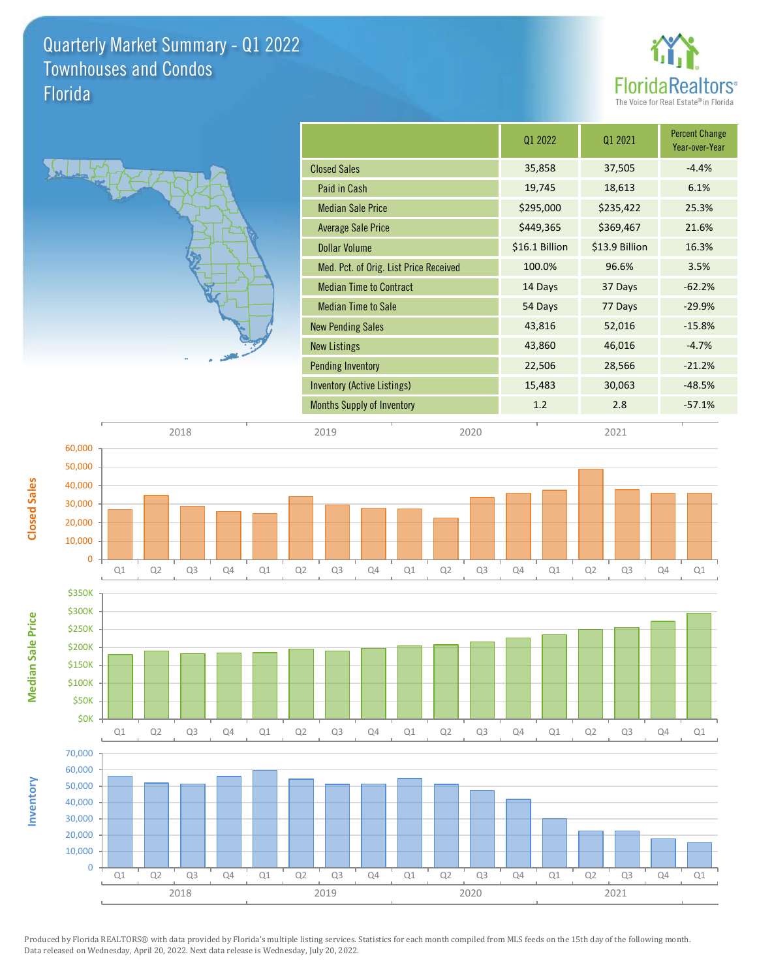Quarterly Market Summary - Q1 2022 Florida Townhouses and Condos



|                                        | 01 2022        | 01 2021        | <b>Percent Change</b><br>Year-over-Year |
|----------------------------------------|----------------|----------------|-----------------------------------------|
| <b>Closed Sales</b>                    | 35,858         | 37,505         | $-4.4%$                                 |
| Paid in Cash                           | 19,745         | 18,613         | 6.1%                                    |
| <b>Median Sale Price</b>               | \$295,000      | \$235,422      | 25.3%                                   |
| Average Sale Price                     | \$449,365      | \$369,467      | 21.6%                                   |
| <b>Dollar Volume</b>                   | \$16.1 Billion | \$13.9 Billion | 16.3%                                   |
| Med. Pct. of Orig. List Price Received | 100.0%         | 96.6%          | 3.5%                                    |
| <b>Median Time to Contract</b>         | 14 Days        | 37 Days        | $-62.2%$                                |
| <b>Median Time to Sale</b>             | 54 Days        | 77 Days        | $-29.9%$                                |
| <b>New Pending Sales</b>               | 43,816         | 52,016         | $-15.8%$                                |
| <b>New Listings</b>                    | 43,860         | 46,016         | $-4.7%$                                 |
| <b>Pending Inventory</b>               | 22,506         | 28,566         | $-21.2%$                                |
| Inventory (Active Listings)            | 15,483         | 30,063         | $-48.5%$                                |
| <b>Months Supply of Inventory</b>      | 1.2            | 2.8            | $-57.1%$                                |





10,000 20,000 30,000 40,000

**Closed Sales**

Produced by Florida REALTORS® with data provided by Florida's multiple listing services. Statistics for each month compiled from MLS feeds on the 15th day of the following month. Data released on Wednesday, April 20, 2022. Next data release is Wednesday, July 20, 2022.